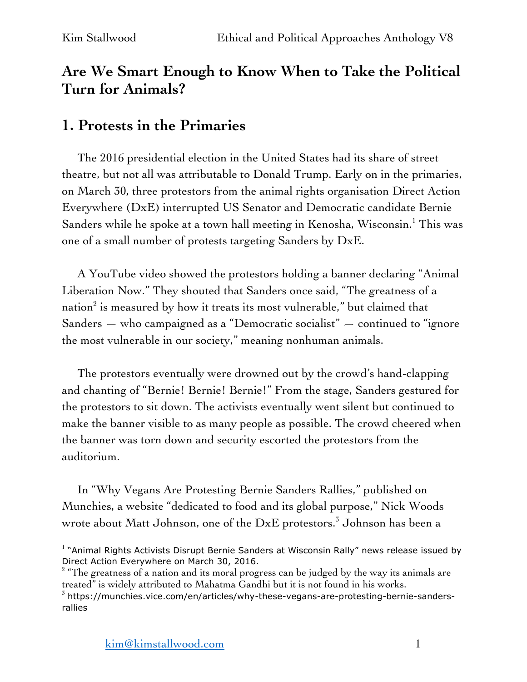### **Are We Smart Enough to Know When to Take the Political Turn for Animals?**

#### **1. Protests in the Primaries**

The 2016 presidential election in the United States had its share of street theatre, but not all was attributable to Donald Trump. Early on in the primaries, on March 30, three protestors from the animal rights organisation Direct Action Everywhere (DxE) interrupted US Senator and Democratic candidate Bernie Sanders while he spoke at a town hall meeting in Kenosha, Wisconsin.<sup>1</sup> This was one of a small number of protests targeting Sanders by DxE.

A YouTube video showed the protestors holding a banner declaring "Animal Liberation Now." They shouted that Sanders once said, "The greatness of a nation<sup>2</sup> is measured by how it treats its most vulnerable," but claimed that Sanders — who campaigned as a "Democratic socialist" — continued to "ignore the most vulnerable in our society," meaning nonhuman animals.

The protestors eventually were drowned out by the crowd's hand-clapping and chanting of "Bernie! Bernie! Bernie!" From the stage, Sanders gestured for the protestors to sit down. The activists eventually went silent but continued to make the banner visible to as many people as possible. The crowd cheered when the banner was torn down and security escorted the protestors from the auditorium.

In "Why Vegans Are Protesting Bernie Sanders Rallies," published on Munchies, a website "dedicated to food and its global purpose," Nick Woods wrote about Matt Johnson, one of the  $DxE$  protestors.<sup>3</sup> Johnson has been a

 $1$  "Animal Rights Activists Disrupt Bernie Sanders at Wisconsin Rally" news release issued by Direct Action Everywhere on March 30, 2016.

 $2$  "The greatness of a nation and its moral progress can be judged by the way its animals are treated" is widely attributed to Mahatma Gandhi but it is not found in his works.

 $3$  https://munchies.vice.com/en/articles/why-these-vegans-are-protesting-bernie-sandersrallies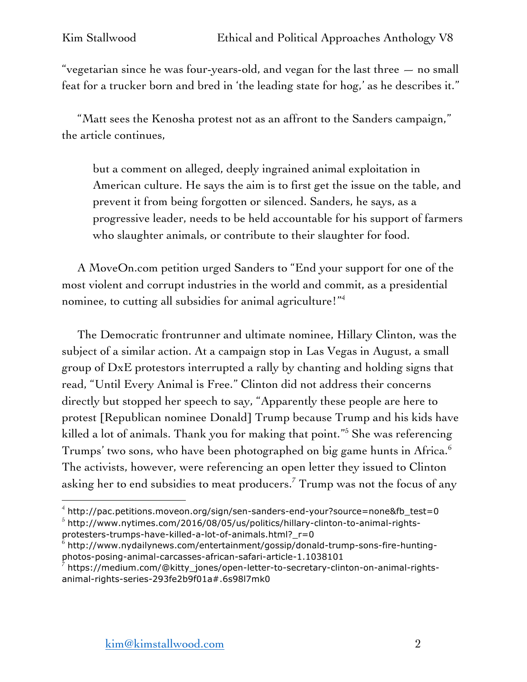"vegetarian since he was four-years-old, and vegan for the last three  $-$  no small feat for a trucker born and bred in 'the leading state for hog,' as he describes it."

"Matt sees the Kenosha protest not as an affront to the Sanders campaign," the article continues,

but a comment on alleged, deeply ingrained animal exploitation in American culture. He says the aim is to first get the issue on the table, and prevent it from being forgotten or silenced. Sanders, he says, as a progressive leader, needs to be held accountable for his support of farmers who slaughter animals, or contribute to their slaughter for food.

A MoveOn.com petition urged Sanders to "End your support for one of the most violent and corrupt industries in the world and commit, as a presidential nominee, to cutting all subsidies for animal agriculture!"4

The Democratic frontrunner and ultimate nominee, Hillary Clinton, was the subject of a similar action. At a campaign stop in Las Vegas in August, a small group of DxE protestors interrupted a rally by chanting and holding signs that read, "Until Every Animal is Free." Clinton did not address their concerns directly but stopped her speech to say, "Apparently these people are here to protest [Republican nominee Donald] Trump because Trump and his kids have killed a lot of animals. Thank you for making that point."5 She was referencing Trumps' two sons, who have been photographed on big game hunts in Africa.6 The activists, however, were referencing an open letter they issued to Clinton asking her to end subsidies to meat producers.<sup>7</sup> Trump was not the focus of any

 $4$  http://pac.petitions.moveon.org/sign/sen-sanders-end-your?source=none&fb\_test=0  $5$  http://www.nytimes.com/2016/08/05/us/politics/hillary-clinton-to-animal-rights-

protesters-trumps-have-killed-a-lot-of-animals.html?\_r=0

 $\frac{6}{6}$  http://www.nydailynews.com/entertainment/gossip/donald-trump-sons-fire-huntingphotos-posing-animal-carcasses-african-safari-article-1.1038101

https://medium.com/@kitty\_jones/open-letter-to-secretary-clinton-on-animal-rightsanimal-rights-series-293fe2b9f01a#.6s98l7mk0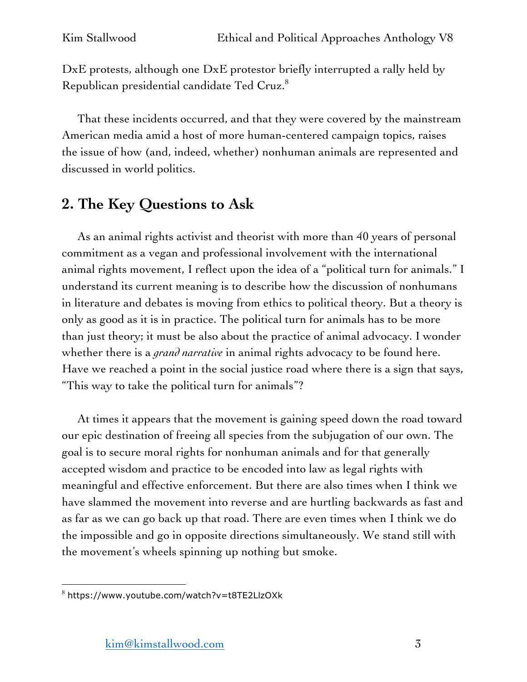DxE protests, although one DxE protestor briefly interrupted a rally held by Republican presidential candidate Ted Cruz.8

That these incidents occurred, and that they were covered by the mainstream American media amid a host of more human-centered campaign topics, raises the issue of how (and, indeed, whether) nonhuman animals are represented and discussed in world politics.

#### **2. The Key Questions to Ask**

As an animal rights activist and theorist with more than 40 years of personal commitment as a vegan and professional involvement with the international animal rights movement, I reflect upon the idea of a "political turn for animals." I understand its current meaning is to describe how the discussion of nonhumans in literature and debates is moving from ethics to political theory. But a theory is only as good as it is in practice. The political turn for animals has to be more than just theory; it must be also about the practice of animal advocacy. I wonder whether there is a *grand narrative* in animal rights advocacy to be found here. Have we reached a point in the social justice road where there is a sign that says, "This way to take the political turn for animals"?

At times it appears that the movement is gaining speed down the road toward our epic destination of freeing all species from the subjugation of our own. The goal is to secure moral rights for nonhuman animals and for that generally accepted wisdom and practice to be encoded into law as legal rights with meaningful and effective enforcement. But there are also times when I think we have slammed the movement into reverse and are hurtling backwards as fast and as far as we can go back up that road. There are even times when I think we do the impossible and go in opposite directions simultaneously. We stand still with the movement's wheels spinning up nothing but smoke.

 <sup>8</sup> https://www.youtube.com/watch?v=t8TE2LlzOXk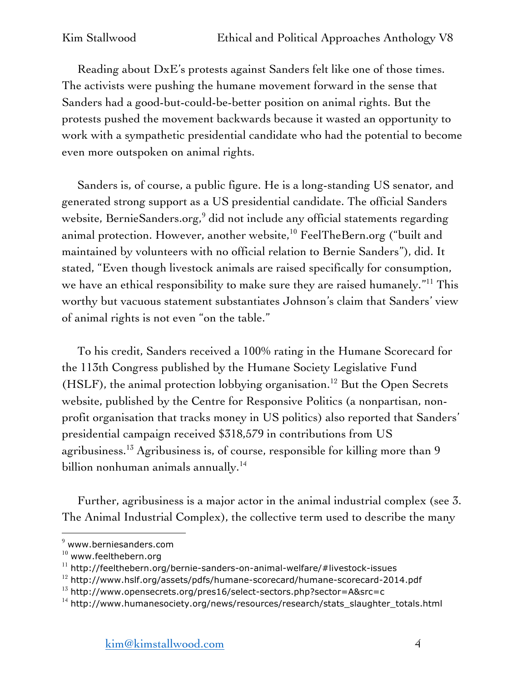Reading about DxE's protests against Sanders felt like one of those times. The activists were pushing the humane movement forward in the sense that Sanders had a good-but-could-be-better position on animal rights. But the protests pushed the movement backwards because it wasted an opportunity to work with a sympathetic presidential candidate who had the potential to become even more outspoken on animal rights.

Sanders is, of course, a public figure. He is a long-standing US senator, and generated strong support as a US presidential candidate. The official Sanders website, BernieSanders.org,<sup>9</sup> did not include any official statements regarding animal protection. However, another website,<sup>10</sup> FeelTheBern.org ("built and maintained by volunteers with no official relation to Bernie Sanders"), did. It stated, "Even though livestock animals are raised specifically for consumption, we have an ethical responsibility to make sure they are raised humanely." <sup>11</sup> This worthy but vacuous statement substantiates Johnson's claim that Sanders' view of animal rights is not even "on the table."

To his credit, Sanders received a 100% rating in the Humane Scorecard for the 113th Congress published by the Humane Society Legislative Fund  $(HSLF)$ , the animal protection lobbying organisation.<sup>12</sup> But the Open Secrets website, published by the Centre for Responsive Politics (a nonpartisan, nonprofit organisation that tracks money in US politics) also reported that Sanders' presidential campaign received \$318,579 in contributions from US agribusiness.<sup>13</sup> Agribusiness is, of course, responsible for killing more than 9 billion nonhuman animals annually.<sup>14</sup>

Further, agribusiness is a major actor in the animal industrial complex (see 3. The Animal Industrial Complex), the collective term used to describe the many

 $9$  www.berniesanders.com

<sup>&</sup>lt;sup>10</sup> www.feelthebern.org

<sup>11</sup> http://feelthebern.org/bernie-sanders-on-animal-welfare/#livestock-issues

 $12$  http://www.hslf.org/assets/pdfs/humane-scorecard/humane-scorecard-2014.pdf

 $13$  http://www.opensecrets.org/pres16/select-sectors.php?sector=A&src=c

<sup>&</sup>lt;sup>14</sup> http://www.humanesociety.org/news/resources/research/stats\_slaughter\_totals.html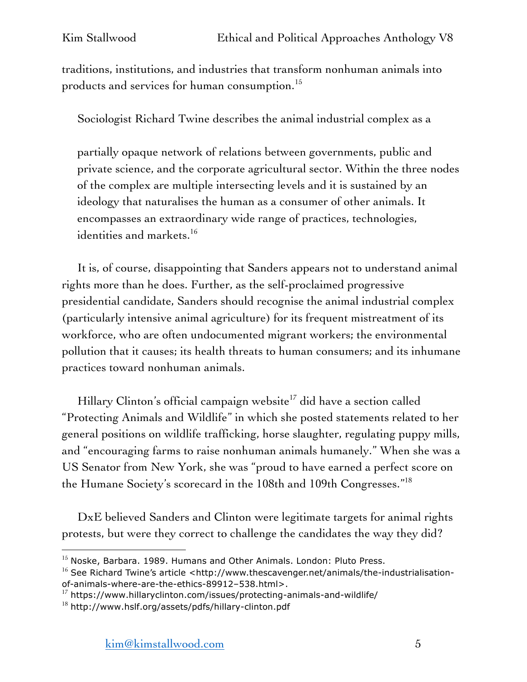traditions, institutions, and industries that transform nonhuman animals into products and services for human consumption.15

Sociologist Richard Twine describes the animal industrial complex as a

partially opaque network of relations between governments, public and private science, and the corporate agricultural sector. Within the three nodes of the complex are multiple intersecting levels and it is sustained by an ideology that naturalises the human as a consumer of other animals. It encompasses an extraordinary wide range of practices, technologies, identities and markets.<sup>16</sup>

It is, of course, disappointing that Sanders appears not to understand animal rights more than he does. Further, as the self-proclaimed progressive presidential candidate, Sanders should recognise the animal industrial complex (particularly intensive animal agriculture) for its frequent mistreatment of its workforce, who are often undocumented migrant workers; the environmental pollution that it causes; its health threats to human consumers; and its inhumane practices toward nonhuman animals.

Hillary Clinton's official campaign website<sup>17</sup> did have a section called "Protecting Animals and Wildlife" in which she posted statements related to her general positions on wildlife trafficking, horse slaughter, regulating puppy mills, and "encouraging farms to raise nonhuman animals humanely." When she was a US Senator from New York, she was "proud to have earned a perfect score on the Humane Society's scorecard in the 108th and 109th Congresses." 18

DxE believed Sanders and Clinton were legitimate targets for animal rights protests, but were they correct to challenge the candidates the way they did?

<sup>&</sup>lt;sup>15</sup> Noske, Barbara. 1989. Humans and Other Animals. London: Pluto Press.

 $16$  See Richard Twine's article <http://www.thescavenger.net/animals/the-industrialisationof-animals-where-are-the-ethics-89912–538.html>.

 $17$  https://www.hillaryclinton.com/issues/protecting-animals-and-wildlife/

<sup>18</sup> http://www.hslf.org/assets/pdfs/hillary-clinton.pdf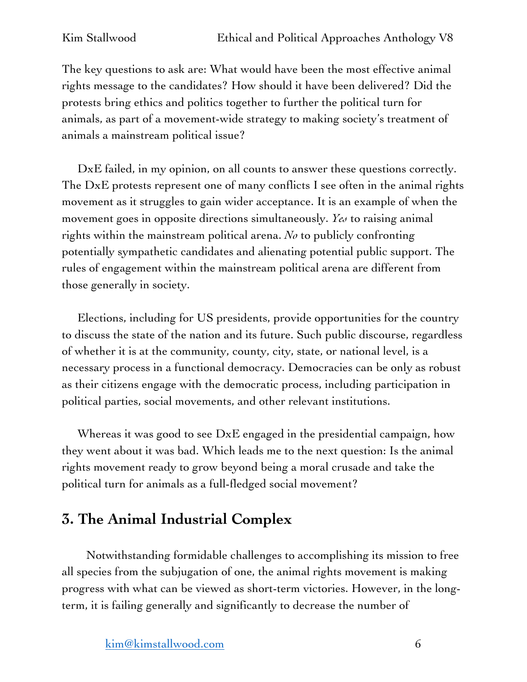The key questions to ask are: What would have been the most effective animal rights message to the candidates? How should it have been delivered? Did the protests bring ethics and politics together to further the political turn for animals, as part of a movement-wide strategy to making society's treatment of animals a mainstream political issue?

DxE failed, in my opinion, on all counts to answer these questions correctly. The DxE protests represent one of many conflicts I see often in the animal rights movement as it struggles to gain wider acceptance. It is an example of when the movement goes in opposite directions simultaneously. *Yes* to raising animal rights within the mainstream political arena. *No* to publicly confronting potentially sympathetic candidates and alienating potential public support. The rules of engagement within the mainstream political arena are different from those generally in society.

Elections, including for US presidents, provide opportunities for the country to discuss the state of the nation and its future. Such public discourse, regardless of whether it is at the community, county, city, state, or national level, is a necessary process in a functional democracy. Democracies can be only as robust as their citizens engage with the democratic process, including participation in political parties, social movements, and other relevant institutions.

Whereas it was good to see DxE engaged in the presidential campaign, how they went about it was bad. Which leads me to the next question: Is the animal rights movement ready to grow beyond being a moral crusade and take the political turn for animals as a full-fledged social movement?

### **3. The Animal Industrial Complex**

Notwithstanding formidable challenges to accomplishing its mission to free all species from the subjugation of one, the animal rights movement is making progress with what can be viewed as short-term victories. However, in the longterm, it is failing generally and significantly to decrease the number of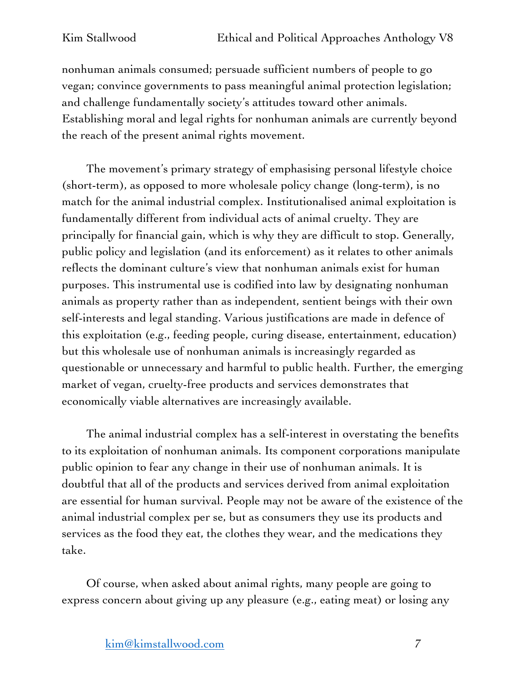nonhuman animals consumed; persuade sufficient numbers of people to go vegan; convince governments to pass meaningful animal protection legislation; and challenge fundamentally society's attitudes toward other animals. Establishing moral and legal rights for nonhuman animals are currently beyond the reach of the present animal rights movement.

The movement's primary strategy of emphasising personal lifestyle choice (short-term), as opposed to more wholesale policy change (long-term), is no match for the animal industrial complex. Institutionalised animal exploitation is fundamentally different from individual acts of animal cruelty. They are principally for financial gain, which is why they are difficult to stop. Generally, public policy and legislation (and its enforcement) as it relates to other animals reflects the dominant culture's view that nonhuman animals exist for human purposes. This instrumental use is codified into law by designating nonhuman animals as property rather than as independent, sentient beings with their own self-interests and legal standing. Various justifications are made in defence of this exploitation (e.g., feeding people, curing disease, entertainment, education) but this wholesale use of nonhuman animals is increasingly regarded as questionable or unnecessary and harmful to public health. Further, the emerging market of vegan, cruelty-free products and services demonstrates that economically viable alternatives are increasingly available.

The animal industrial complex has a self-interest in overstating the benefits to its exploitation of nonhuman animals. Its component corporations manipulate public opinion to fear any change in their use of nonhuman animals. It is doubtful that all of the products and services derived from animal exploitation are essential for human survival. People may not be aware of the existence of the animal industrial complex per se, but as consumers they use its products and services as the food they eat, the clothes they wear, and the medications they take.

Of course, when asked about animal rights, many people are going to express concern about giving up any pleasure (e.g., eating meat) or losing any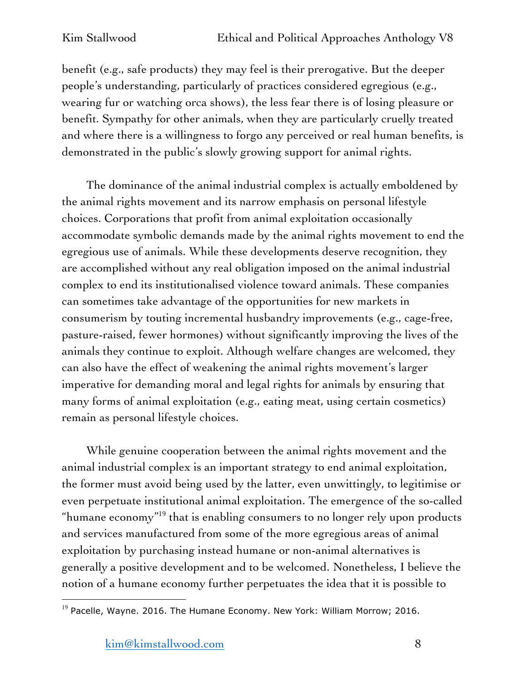benefit (e.g., safe products) they may feel is their prerogative. But the deeper people's understanding, particularly of practices considered egregious (e.g., wearing fur or watching orca shows), the less fear there is of losing pleasure or benefit. Sympathy for other animals, when they are particularly cruelly treated and where there is a willingness to forgo any perceived or real human benefits, is demonstrated in the public's slowly growing support for animal rights.

The dominance of the animal industrial complex is actually emboldened by the animal rights movement and its narrow emphasis on personal lifestyle choices. Corporations that profit from animal exploitation occasionally accommodate symbolic demands made by the animal rights movement to end the egregious use of animals. While these developments deserve recognition, they are accomplished without any real obligation imposed on the animal industrial complex to end its institutionalised violence toward animals. These companies can sometimes take advantage of the opportunities for new markets in consumerism by touting incremental husbandry improvements (e.g., cage-free, pasture-raised, fewer hormones) without significantly improving the lives of the animals they continue to exploit. Although welfare changes are welcomed, they can also have the effect of weakening the animal rights movement's larger imperative for demanding moral and legal rights for animals by ensuring that many forms of animal exploitation (e.g., eating meat, using certain cosmetics) remain as personal lifestyle choices.

While genuine cooperation between the animal rights movement and the animal industrial complex is an important strategy to end animal exploitation, the former must avoid being used by the latter, even unwittingly, to legitimise or even perpetuate institutional animal exploitation. The emergence of the so-called "humane economy"19 that is enabling consumers to no longer rely upon products and services manufactured from some of the more egregious areas of animal exploitation by purchasing instead humane or non-animal alternatives is generally a positive development and to be welcomed. Nonetheless, I believe the notion of a humane economy further perpetuates the idea that it is possible to

<sup>&</sup>lt;sup>19</sup> Pacelle, Wayne. 2016. The Humane Economy. New York: William Morrow; 2016.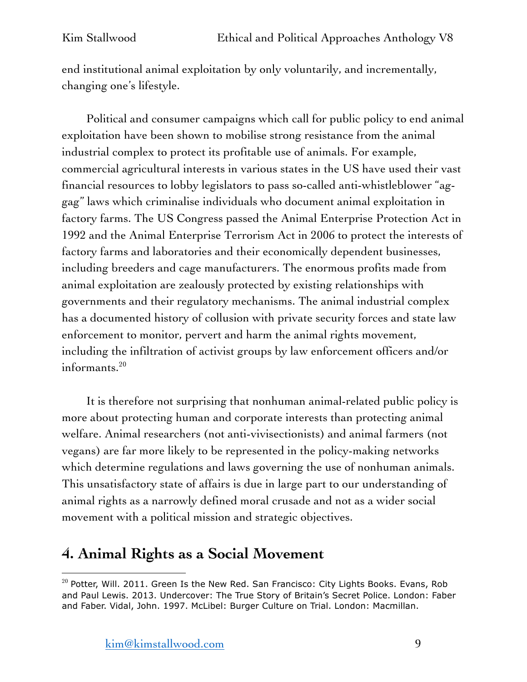end institutional animal exploitation by only voluntarily, and incrementally, changing one's lifestyle.

Political and consumer campaigns which call for public policy to end animal exploitation have been shown to mobilise strong resistance from the animal industrial complex to protect its profitable use of animals. For example, commercial agricultural interests in various states in the US have used their vast financial resources to lobby legislators to pass so-called anti-whistleblower "aggag" laws which criminalise individuals who document animal exploitation in factory farms. The US Congress passed the Animal Enterprise Protection Act in 1992 and the Animal Enterprise Terrorism Act in 2006 to protect the interests of factory farms and laboratories and their economically dependent businesses, including breeders and cage manufacturers. The enormous profits made from animal exploitation are zealously protected by existing relationships with governments and their regulatory mechanisms. The animal industrial complex has a documented history of collusion with private security forces and state law enforcement to monitor, pervert and harm the animal rights movement, including the infiltration of activist groups by law enforcement officers and/or informants.20

It is therefore not surprising that nonhuman animal-related public policy is more about protecting human and corporate interests than protecting animal welfare. Animal researchers (not anti-vivisectionists) and animal farmers (not vegans) are far more likely to be represented in the policy-making networks which determine regulations and laws governing the use of nonhuman animals. This unsatisfactory state of affairs is due in large part to our understanding of animal rights as a narrowly defined moral crusade and not as a wider social movement with a political mission and strategic objectives.

# **4. Animal Rights as a Social Movement**

 $20$  Potter, Will. 2011. Green Is the New Red. San Francisco: City Lights Books. Evans, Rob and Paul Lewis. 2013. Undercover: The True Story of Britain's Secret Police. London: Faber and Faber. Vidal, John. 1997. McLibel: Burger Culture on Trial. London: Macmillan.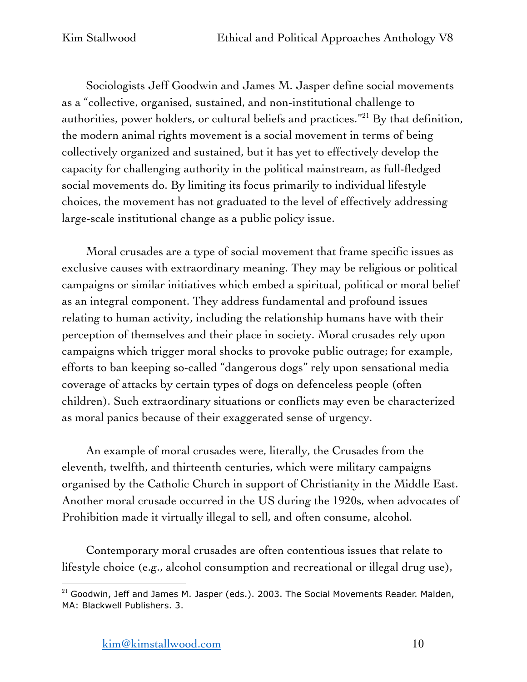Sociologists Jeff Goodwin and James M. Jasper define social movements as a "collective, organised, sustained, and non-institutional challenge to authorities, power holders, or cultural beliefs and practices."21 By that definition, the modern animal rights movement is a social movement in terms of being collectively organized and sustained, but it has yet to effectively develop the capacity for challenging authority in the political mainstream, as full-fledged social movements do. By limiting its focus primarily to individual lifestyle choices, the movement has not graduated to the level of effectively addressing large-scale institutional change as a public policy issue.

Moral crusades are a type of social movement that frame specific issues as exclusive causes with extraordinary meaning. They may be religious or political campaigns or similar initiatives which embed a spiritual, political or moral belief as an integral component. They address fundamental and profound issues relating to human activity, including the relationship humans have with their perception of themselves and their place in society. Moral crusades rely upon campaigns which trigger moral shocks to provoke public outrage; for example, efforts to ban keeping so-called "dangerous dogs" rely upon sensational media coverage of attacks by certain types of dogs on defenceless people (often children). Such extraordinary situations or conflicts may even be characterized as moral panics because of their exaggerated sense of urgency.

An example of moral crusades were, literally, the Crusades from the eleventh, twelfth, and thirteenth centuries, which were military campaigns organised by the Catholic Church in support of Christianity in the Middle East. Another moral crusade occurred in the US during the 1920s, when advocates of Prohibition made it virtually illegal to sell, and often consume, alcohol.

Contemporary moral crusades are often contentious issues that relate to lifestyle choice (e.g., alcohol consumption and recreational or illegal drug use),

 $21$  Goodwin, Jeff and James M. Jasper (eds.). 2003. The Social Movements Reader. Malden, MA: Blackwell Publishers. 3.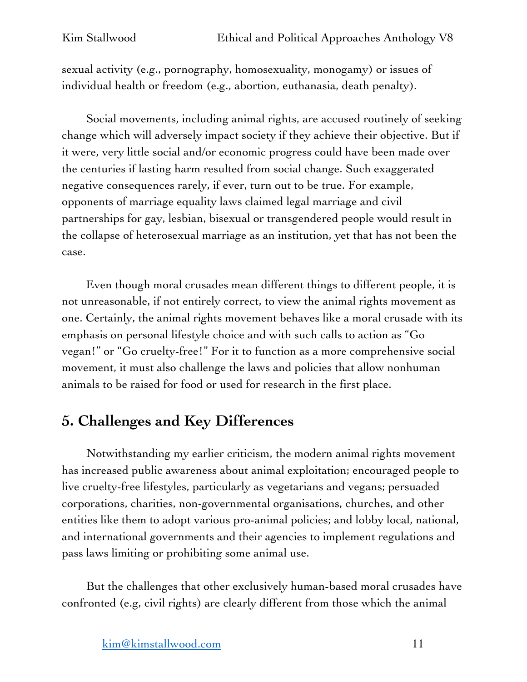sexual activity (e.g., pornography, homosexuality, monogamy) or issues of individual health or freedom (e.g., abortion, euthanasia, death penalty).

Social movements, including animal rights, are accused routinely of seeking change which will adversely impact society if they achieve their objective. But if it were, very little social and/or economic progress could have been made over the centuries if lasting harm resulted from social change. Such exaggerated negative consequences rarely, if ever, turn out to be true. For example, opponents of marriage equality laws claimed legal marriage and civil partnerships for gay, lesbian, bisexual or transgendered people would result in the collapse of heterosexual marriage as an institution, yet that has not been the case.

Even though moral crusades mean different things to different people, it is not unreasonable, if not entirely correct, to view the animal rights movement as one. Certainly, the animal rights movement behaves like a moral crusade with its emphasis on personal lifestyle choice and with such calls to action as "Go vegan!" or "Go cruelty-free!" For it to function as a more comprehensive social movement, it must also challenge the laws and policies that allow nonhuman animals to be raised for food or used for research in the first place.

### **5. Challenges and Key Differences**

Notwithstanding my earlier criticism, the modern animal rights movement has increased public awareness about animal exploitation; encouraged people to live cruelty-free lifestyles, particularly as vegetarians and vegans; persuaded corporations, charities, non-governmental organisations, churches, and other entities like them to adopt various pro-animal policies; and lobby local, national, and international governments and their agencies to implement regulations and pass laws limiting or prohibiting some animal use.

But the challenges that other exclusively human-based moral crusades have confronted (e.g, civil rights) are clearly different from those which the animal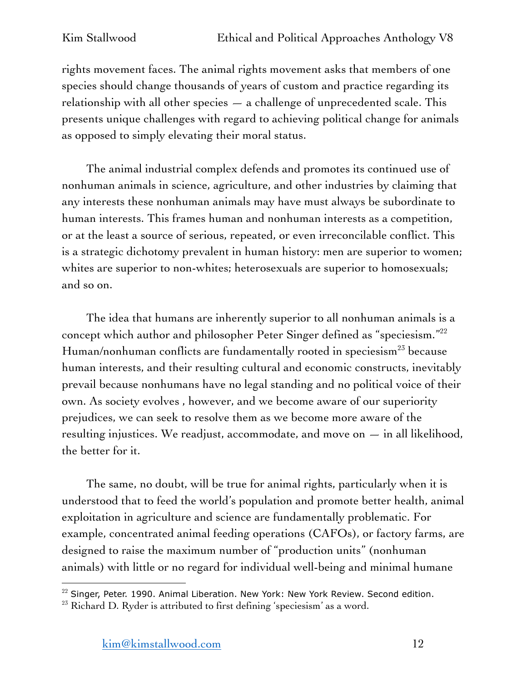rights movement faces. The animal rights movement asks that members of one species should change thousands of years of custom and practice regarding its relationship with all other species  $-$  a challenge of unprecedented scale. This presents unique challenges with regard to achieving political change for animals as opposed to simply elevating their moral status.

The animal industrial complex defends and promotes its continued use of nonhuman animals in science, agriculture, and other industries by claiming that any interests these nonhuman animals may have must always be subordinate to human interests. This frames human and nonhuman interests as a competition, or at the least a source of serious, repeated, or even irreconcilable conflict. This is a strategic dichotomy prevalent in human history: men are superior to women; whites are superior to non-whites; heterosexuals are superior to homosexuals; and so on.

The idea that humans are inherently superior to all nonhuman animals is a concept which author and philosopher Peter Singer defined as "speciesism."22 Human/nonhuman conflicts are fundamentally rooted in speciesism $^{23}$  because human interests, and their resulting cultural and economic constructs, inevitably prevail because nonhumans have no legal standing and no political voice of their own. As society evolves , however, and we become aware of our superiority prejudices, we can seek to resolve them as we become more aware of the resulting injustices. We readjust, accommodate, and move on  $-$  in all likelihood, the better for it.

The same, no doubt, will be true for animal rights, particularly when it is understood that to feed the world's population and promote better health, animal exploitation in agriculture and science are fundamentally problematic. For example, concentrated animal feeding operations (CAFOs), or factory farms, are designed to raise the maximum number of "production units" (nonhuman animals) with little or no regard for individual well-being and minimal humane

 $^{22}$  Singer, Peter. 1990. Animal Liberation. New York: New York Review. Second edition.

 $23$  Richard D. Ryder is attributed to first defining 'speciesism' as a word.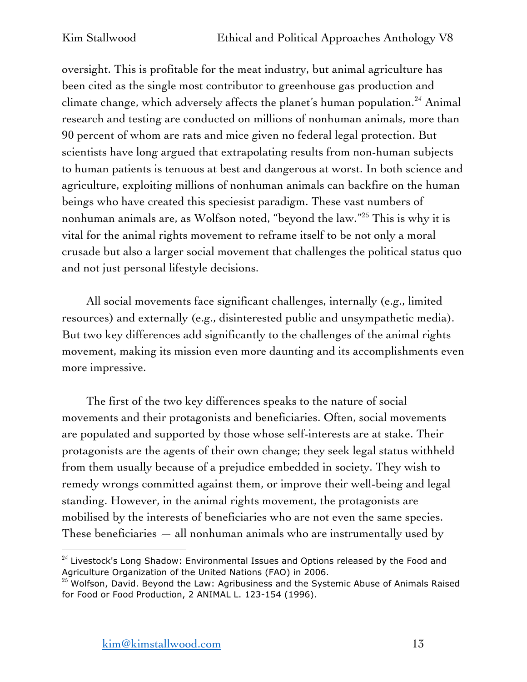oversight. This is profitable for the meat industry, but animal agriculture has been cited as the single most contributor to greenhouse gas production and climate change, which adversely affects the planet's human population.<sup>24</sup> Animal research and testing are conducted on millions of nonhuman animals, more than 90 percent of whom are rats and mice given no federal legal protection. But scientists have long argued that extrapolating results from non-human subjects to human patients is tenuous at best and dangerous at worst. In both science and agriculture, exploiting millions of nonhuman animals can backfire on the human beings who have created this speciesist paradigm. These vast numbers of nonhuman animals are, as Wolfson noted, "beyond the law."25 This is why it is vital for the animal rights movement to reframe itself to be not only a moral crusade but also a larger social movement that challenges the political status quo and not just personal lifestyle decisions.

All social movements face significant challenges, internally (e.g., limited resources) and externally (e.g., disinterested public and unsympathetic media). But two key differences add significantly to the challenges of the animal rights movement, making its mission even more daunting and its accomplishments even more impressive.

The first of the two key differences speaks to the nature of social movements and their protagonists and beneficiaries. Often, social movements are populated and supported by those whose self-interests are at stake. Their protagonists are the agents of their own change; they seek legal status withheld from them usually because of a prejudice embedded in society. They wish to remedy wrongs committed against them, or improve their well-being and legal standing. However, in the animal rights movement, the protagonists are mobilised by the interests of beneficiaries who are not even the same species. These beneficiaries — all nonhuman animals who are instrumentally used by

 $24$  Livestock's Long Shadow: Environmental Issues and Options released by the Food and Agriculture Organization of the United Nations (FAO) in 2006.

 $25$  Wolfson, David. Beyond the Law: Agribusiness and the Systemic Abuse of Animals Raised for Food or Food Production, 2 ANIMAL L. 123-154 (1996).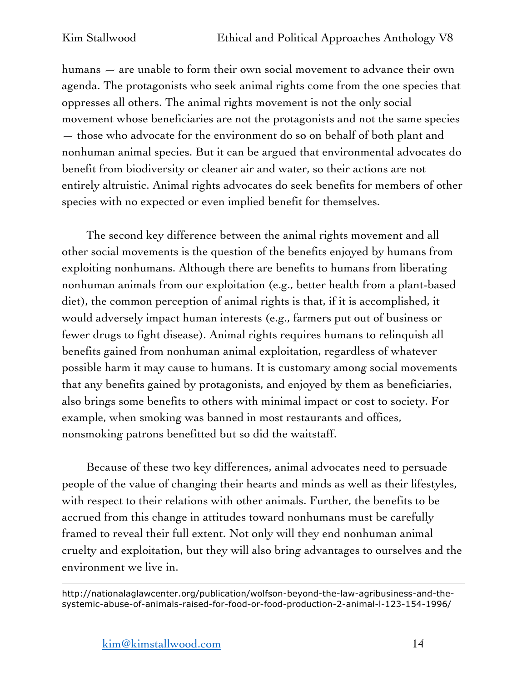humans — are unable to form their own social movement to advance their own agenda. The protagonists who seek animal rights come from the one species that oppresses all others. The animal rights movement is not the only social movement whose beneficiaries are not the protagonists and not the same species — those who advocate for the environment do so on behalf of both plant and nonhuman animal species. But it can be argued that environmental advocates do benefit from biodiversity or cleaner air and water, so their actions are not entirely altruistic. Animal rights advocates do seek benefits for members of other species with no expected or even implied benefit for themselves.

The second key difference between the animal rights movement and all other social movements is the question of the benefits enjoyed by humans from exploiting nonhumans. Although there are benefits to humans from liberating nonhuman animals from our exploitation (e.g., better health from a plant-based diet), the common perception of animal rights is that, if it is accomplished, it would adversely impact human interests (e.g., farmers put out of business or fewer drugs to fight disease). Animal rights requires humans to relinquish all benefits gained from nonhuman animal exploitation, regardless of whatever possible harm it may cause to humans. It is customary among social movements that any benefits gained by protagonists, and enjoyed by them as beneficiaries, also brings some benefits to others with minimal impact or cost to society. For example, when smoking was banned in most restaurants and offices, nonsmoking patrons benefitted but so did the waitstaff.

Because of these two key differences, animal advocates need to persuade people of the value of changing their hearts and minds as well as their lifestyles, with respect to their relations with other animals. Further, the benefits to be accrued from this change in attitudes toward nonhumans must be carefully framed to reveal their full extent. Not only will they end nonhuman animal cruelty and exploitation, but they will also bring advantages to ourselves and the environment we live in.

http://nationalaglawcenter.org/publication/wolfson-beyond-the-law-agribusiness-and-thesystemic-abuse-of-animals-raised-for-food-or-food-production-2-animal-l-123-154-1996/

 $\overline{a}$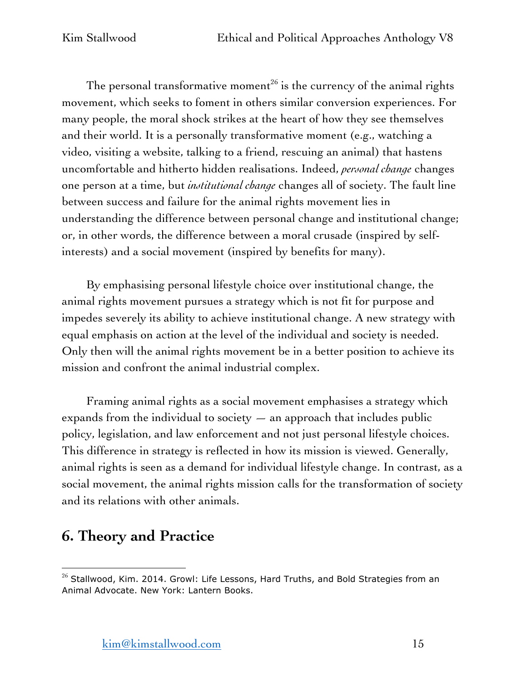The personal transformative moment<sup>26</sup> is the currency of the animal rights movement, which seeks to foment in others similar conversion experiences. For many people, the moral shock strikes at the heart of how they see themselves and their world. It is a personally transformative moment (e.g., watching a video, visiting a website, talking to a friend, rescuing an animal) that hastens uncomfortable and hitherto hidden realisations. Indeed, *personal change* changes one person at a time, but *institutional change* changes all of society. The fault line between success and failure for the animal rights movement lies in understanding the difference between personal change and institutional change; or, in other words, the difference between a moral crusade (inspired by selfinterests) and a social movement (inspired by benefits for many).

By emphasising personal lifestyle choice over institutional change, the animal rights movement pursues a strategy which is not fit for purpose and impedes severely its ability to achieve institutional change. A new strategy with equal emphasis on action at the level of the individual and society is needed. Only then will the animal rights movement be in a better position to achieve its mission and confront the animal industrial complex.

Framing animal rights as a social movement emphasises a strategy which expands from the individual to society  $-$  an approach that includes public policy, legislation, and law enforcement and not just personal lifestyle choices. This difference in strategy is reflected in how its mission is viewed. Generally, animal rights is seen as a demand for individual lifestyle change. In contrast, as a social movement, the animal rights mission calls for the transformation of society and its relations with other animals.

# **6. Theory and Practice**

 $^{26}$  Stallwood, Kim. 2014. Growl: Life Lessons, Hard Truths, and Bold Strategies from an Animal Advocate. New York: Lantern Books.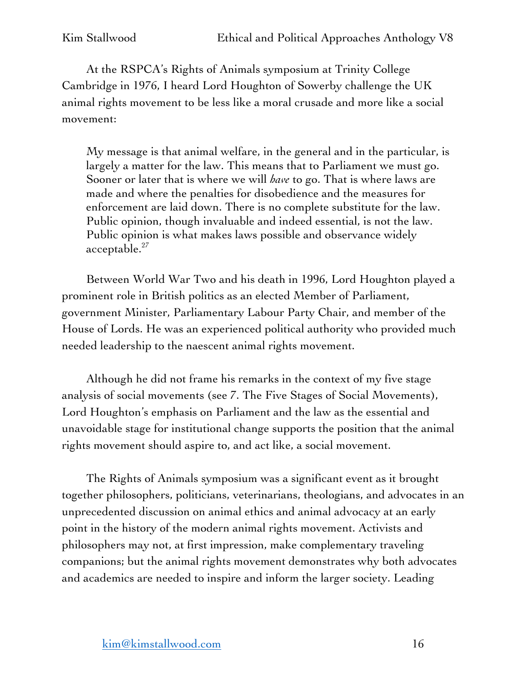At the RSPCA's Rights of Animals symposium at Trinity College Cambridge in 1976, I heard Lord Houghton of Sowerby challenge the UK animal rights movement to be less like a moral crusade and more like a social movement:

My message is that animal welfare, in the general and in the particular, is largely a matter for the law. This means that to Parliament we must go. Sooner or later that is where we will *have* to go. That is where laws are made and where the penalties for disobedience and the measures for enforcement are laid down. There is no complete substitute for the law. Public opinion, though invaluable and indeed essential, is not the law. Public opinion is what makes laws possible and observance widely acceptable.<sup>27</sup>

Between World War Two and his death in 1996, Lord Houghton played a prominent role in British politics as an elected Member of Parliament, government Minister, Parliamentary Labour Party Chair, and member of the House of Lords. He was an experienced political authority who provided much needed leadership to the naescent animal rights movement.

Although he did not frame his remarks in the context of my five stage analysis of social movements (see 7. The Five Stages of Social Movements), Lord Houghton's emphasis on Parliament and the law as the essential and unavoidable stage for institutional change supports the position that the animal rights movement should aspire to, and act like, a social movement.

The Rights of Animals symposium was a significant event as it brought together philosophers, politicians, veterinarians, theologians, and advocates in an unprecedented discussion on animal ethics and animal advocacy at an early point in the history of the modern animal rights movement. Activists and philosophers may not, at first impression, make complementary traveling companions; but the animal rights movement demonstrates why both advocates and academics are needed to inspire and inform the larger society. Leading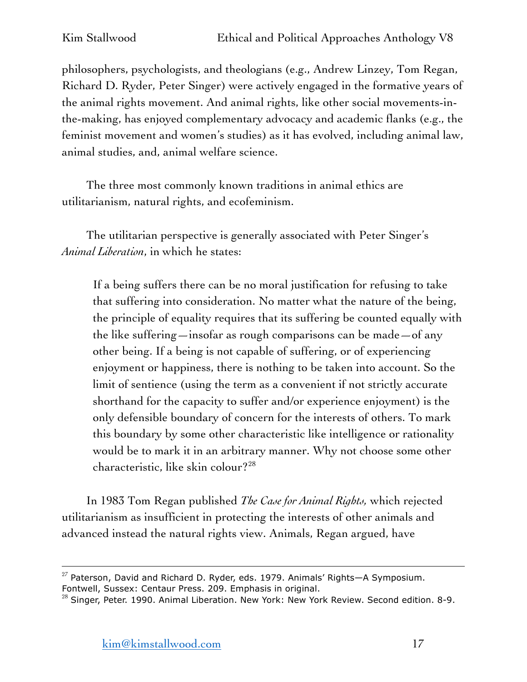philosophers, psychologists, and theologians (e.g., Andrew Linzey, Tom Regan, Richard D. Ryder, Peter Singer) were actively engaged in the formative years of the animal rights movement. And animal rights, like other social movements-inthe-making, has enjoyed complementary advocacy and academic flanks (e.g., the feminist movement and women's studies) as it has evolved, including animal law, animal studies, and, animal welfare science.

The three most commonly known traditions in animal ethics are utilitarianism, natural rights, and ecofeminism.

The utilitarian perspective is generally associated with Peter Singer's *Animal Liberation*, in which he states:

If a being suffers there can be no moral justification for refusing to take that suffering into consideration. No matter what the nature of the being, the principle of equality requires that its suffering be counted equally with the like suffering—insofar as rough comparisons can be made—of any other being. If a being is not capable of suffering, or of experiencing enjoyment or happiness, there is nothing to be taken into account. So the limit of sentience (using the term as a convenient if not strictly accurate shorthand for the capacity to suffer and/or experience enjoyment) is the only defensible boundary of concern for the interests of others. To mark this boundary by some other characteristic like intelligence or rationality would be to mark it in an arbitrary manner. Why not choose some other characteristic, like skin colour?28

In 1983 Tom Regan published *The Case for Animal Rights,* which rejected utilitarianism as insufficient in protecting the interests of other animals and advanced instead the natural rights view. Animals, Regan argued, have

 $27$  Paterson, David and Richard D. Ryder, eds. 1979. Animals' Rights—A Symposium. Fontwell, Sussex: Centaur Press. 209. Emphasis in original.

 $^{28}$  Singer, Peter. 1990. Animal Liberation. New York: New York Review. Second edition. 8-9.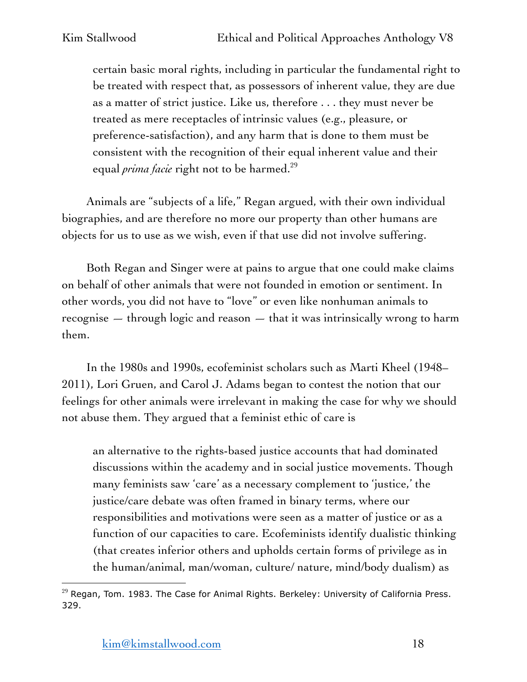certain basic moral rights, including in particular the fundamental right to be treated with respect that, as possessors of inherent value, they are due as a matter of strict justice. Like us, therefore . . . they must never be treated as mere receptacles of intrinsic values (e.g., pleasure, or preference-satisfaction), and any harm that is done to them must be consistent with the recognition of their equal inherent value and their equal *prima facie* right not to be harmed.<sup>29</sup>

Animals are "subjects of a life," Regan argued, with their own individual biographies, and are therefore no more our property than other humans are objects for us to use as we wish, even if that use did not involve suffering.

Both Regan and Singer were at pains to argue that one could make claims on behalf of other animals that were not founded in emotion or sentiment. In other words, you did not have to "love" or even like nonhuman animals to recognise  $-$  through logic and reason  $-$  that it was intrinsically wrong to harm them.

In the 1980s and 1990s, ecofeminist scholars such as Marti Kheel (1948– 2011), Lori Gruen, and Carol J. Adams began to contest the notion that our feelings for other animals were irrelevant in making the case for why we should not abuse them. They argued that a feminist ethic of care is

an alternative to the rights-based justice accounts that had dominated discussions within the academy and in social justice movements. Though many feminists saw 'care' as a necessary complement to 'justice,' the justice/care debate was often framed in binary terms, where our responsibilities and motivations were seen as a matter of justice or as a function of our capacities to care. Ecofeminists identify dualistic thinking (that creates inferior others and upholds certain forms of privilege as in the human/animal, man/woman, culture/ nature, mind/body dualism) as

 $29$  Regan, Tom. 1983. The Case for Animal Rights. Berkeley: University of California Press. 329.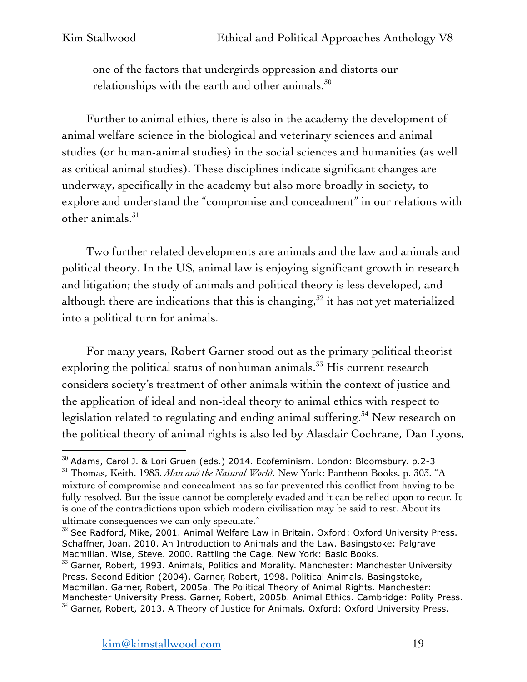one of the factors that undergirds oppression and distorts our relationships with the earth and other animals.<sup>30</sup>

Further to animal ethics, there is also in the academy the development of animal welfare science in the biological and veterinary sciences and animal studies (or human-animal studies) in the social sciences and humanities (as well as critical animal studies). These disciplines indicate significant changes are underway, specifically in the academy but also more broadly in society, to explore and understand the "compromise and concealment" in our relations with other animals. $31$ 

Two further related developments are animals and the law and animals and political theory. In the US, animal law is enjoying significant growth in research and litigation; the study of animals and political theory is less developed, and although there are indications that this is changing, $52$  it has not yet materialized into a political turn for animals.

For many years, Robert Garner stood out as the primary political theorist exploring the political status of nonhuman animals.<sup>33</sup> His current research considers society's treatment of other animals within the context of justice and the application of ideal and non-ideal theory to animal ethics with respect to legislation related to regulating and ending animal suffering.<sup>34</sup> New research on the political theory of animal rights is also led by Alasdair Cochrane, Dan Lyons,

 $30$  Adams, Carol J. & Lori Gruen (eds.) 2014. Ecofeminism. London: Bloomsbury. p.2-3

<sup>31</sup> Thomas, Keith. 1983. *Man and the Natural World*. New York: Pantheon Books. p. 303. "A mixture of compromise and concealment has so far prevented this conflict from having to be fully resolved. But the issue cannot be completely evaded and it can be relied upon to recur. It is one of the contradictions upon which modern civilisation may be said to rest. About its ultimate consequences we can only speculate."

 $32$  See Radford, Mike, 2001. Animal Welfare Law in Britain. Oxford: Oxford University Press. Schaffner, Joan, 2010. An Introduction to Animals and the Law. Basingstoke: Palgrave Macmillan. Wise, Steve. 2000. Rattling the Cage. New York: Basic Books.

 $33$  Garner, Robert, 1993. Animals, Politics and Morality. Manchester: Manchester University Press. Second Edition (2004). Garner, Robert, 1998. Political Animals. Basingstoke, Macmillan. Garner, Robert, 2005a. The Political Theory of Animal Rights. Manchester: Manchester University Press. Garner, Robert, 2005b. Animal Ethics. Cambridge: Polity Press.  $34$  Garner, Robert, 2013. A Theory of Justice for Animals. Oxford: Oxford University Press.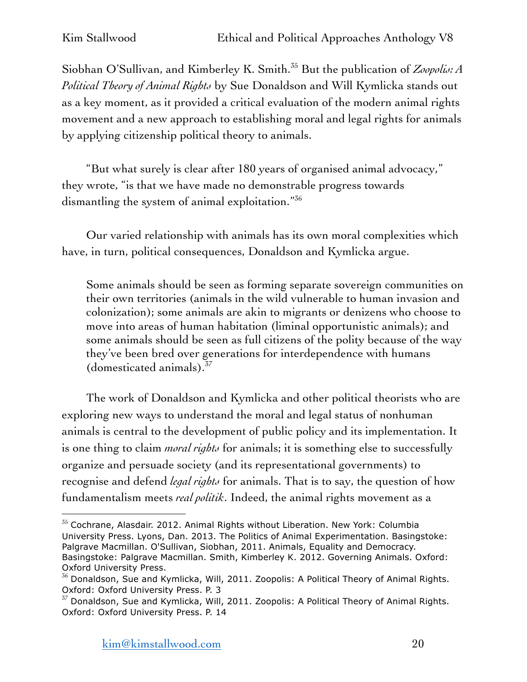Siobhan O'Sullivan, and Kimberley K. Smith.<sup>35</sup> But the publication of *Zoopolis: A Political Theory of Animal Rights* by Sue Donaldson and Will Kymlicka stands out as a key moment, as it provided a critical evaluation of the modern animal rights movement and a new approach to establishing moral and legal rights for animals by applying citizenship political theory to animals.

"But what surely is clear after 180 years of organised animal advocacy," they wrote, "is that we have made no demonstrable progress towards dismantling the system of animal exploitation."36

Our varied relationship with animals has its own moral complexities which have, in turn, political consequences, Donaldson and Kymlicka argue.

Some animals should be seen as forming separate sovereign communities on their own territories (animals in the wild vulnerable to human invasion and colonization); some animals are akin to migrants or denizens who choose to move into areas of human habitation (liminal opportunistic animals); and some animals should be seen as full citizens of the polity because of the way they've been bred over generations for interdependence with humans (domesticated animals).37

The work of Donaldson and Kymlicka and other political theorists who are exploring new ways to understand the moral and legal status of nonhuman animals is central to the development of public policy and its implementation. It is one thing to claim *moral rights* for animals; it is something else to successfully organize and persuade society (and its representational governments) to recognise and defend *legal rights* for animals. That is to say, the question of how fundamentalism meets *real politik*. Indeed, the animal rights movement as a

 <sup>35</sup> Cochrane, Alasdair. 2012. Animal Rights without Liberation. New York: Columbia University Press. Lyons, Dan. 2013. The Politics of Animal Experimentation. Basingstoke: Palgrave Macmillan. O'Sullivan, Siobhan, 2011. Animals, Equality and Democracy. Basingstoke: Palgrave Macmillan. Smith, Kimberley K. 2012. Governing Animals. Oxford: Oxford University Press.

 $36$  Donaldson, Sue and Kymlicka, Will, 2011. Zoopolis: A Political Theory of Animal Rights. Oxford: Oxford University Press. P. 3

 $37$  Donaldson, Sue and Kymlicka, Will, 2011. Zoopolis: A Political Theory of Animal Rights. Oxford: Oxford University Press. P. 14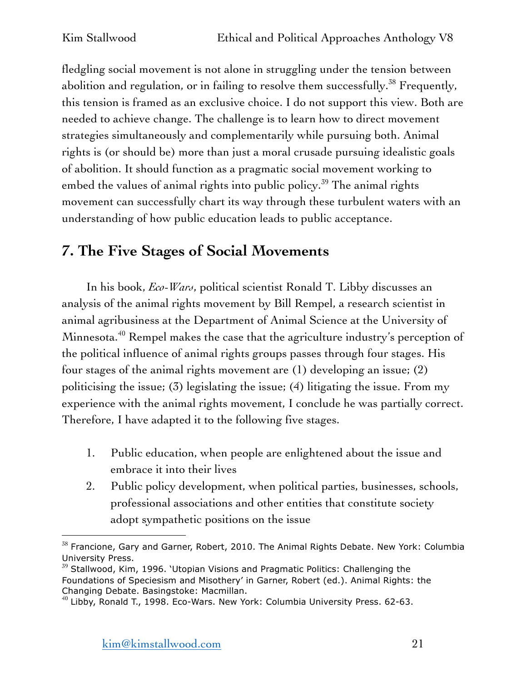fledgling social movement is not alone in struggling under the tension between abolition and regulation, or in failing to resolve them successfully.<sup>38</sup> Frequently, this tension is framed as an exclusive choice. I do not support this view. Both are needed to achieve change. The challenge is to learn how to direct movement strategies simultaneously and complementarily while pursuing both. Animal rights is (or should be) more than just a moral crusade pursuing idealistic goals of abolition. It should function as a pragmatic social movement working to embed the values of animal rights into public policy.<sup>39</sup> The animal rights movement can successfully chart its way through these turbulent waters with an understanding of how public education leads to public acceptance.

### **7. The Five Stages of Social Movements**

In his book, *Eco-Wars*, political scientist Ronald T. Libby discusses an analysis of the animal rights movement by Bill Rempel, a research scientist in animal agribusiness at the Department of Animal Science at the University of Minnesota.<sup>40</sup> Rempel makes the case that the agriculture industry's perception of the political influence of animal rights groups passes through four stages. His four stages of the animal rights movement are (1) developing an issue; (2) politicising the issue; (3) legislating the issue; (4) litigating the issue. From my experience with the animal rights movement, I conclude he was partially correct. Therefore, I have adapted it to the following five stages.

- 1. Public education, when people are enlightened about the issue and embrace it into their lives
- 2. Public policy development, when political parties, businesses, schools, professional associations and other entities that constitute society adopt sympathetic positions on the issue

 <sup>38</sup> Francione, Gary and Garner, Robert, 2010. The Animal Rights Debate. New York: Columbia University Press.

 $39$  Stallwood, Kim, 1996. 'Utopian Visions and Pragmatic Politics: Challenging the Foundations of Speciesism and Misothery' in Garner, Robert (ed.). Animal Rights: the Changing Debate. Basingstoke: Macmillan.

 $^{40}$  Libby, Ronald T., 1998. Eco-Wars. New York: Columbia University Press. 62-63.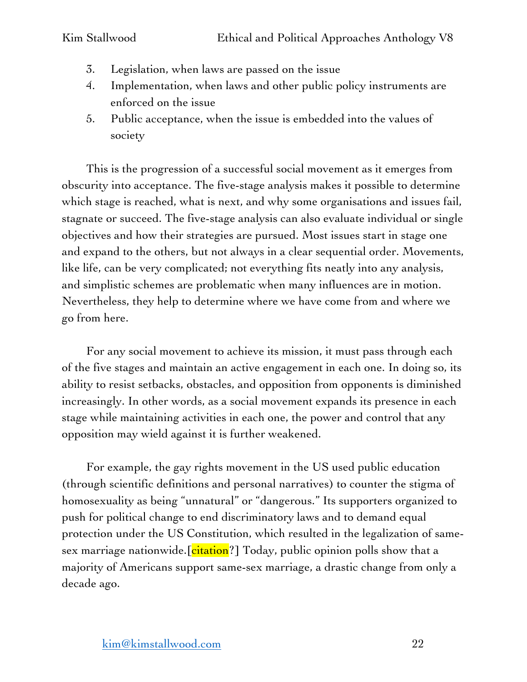- 3. Legislation, when laws are passed on the issue
- 4. Implementation, when laws and other public policy instruments are enforced on the issue
- 5. Public acceptance, when the issue is embedded into the values of society

This is the progression of a successful social movement as it emerges from obscurity into acceptance. The five-stage analysis makes it possible to determine which stage is reached, what is next, and why some organisations and issues fail, stagnate or succeed. The five-stage analysis can also evaluate individual or single objectives and how their strategies are pursued. Most issues start in stage one and expand to the others, but not always in a clear sequential order. Movements, like life, can be very complicated; not everything fits neatly into any analysis, and simplistic schemes are problematic when many influences are in motion. Nevertheless, they help to determine where we have come from and where we go from here.

For any social movement to achieve its mission, it must pass through each of the five stages and maintain an active engagement in each one. In doing so, its ability to resist setbacks, obstacles, and opposition from opponents is diminished increasingly. In other words, as a social movement expands its presence in each stage while maintaining activities in each one, the power and control that any opposition may wield against it is further weakened.

For example, the gay rights movement in the US used public education (through scientific definitions and personal narratives) to counter the stigma of homosexuality as being "unnatural" or "dangerous." Its supporters organized to push for political change to end discriminatory laws and to demand equal protection under the US Constitution, which resulted in the legalization of samesex marriage nationwide. [citation?] Today, public opinion polls show that a majority of Americans support same-sex marriage, a drastic change from only a decade ago.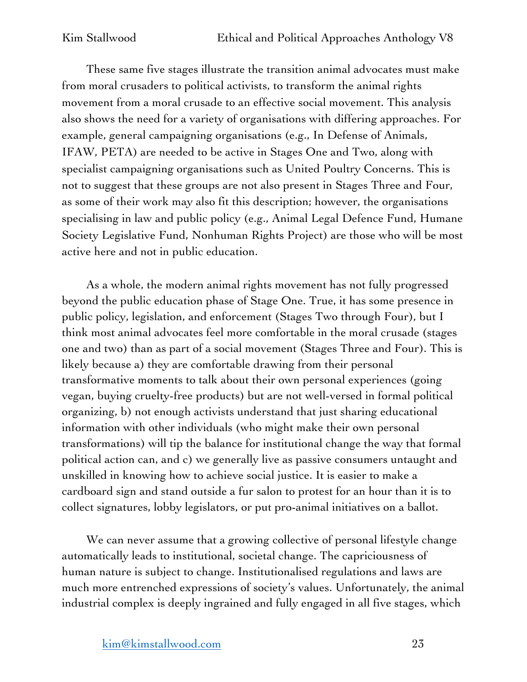These same five stages illustrate the transition animal advocates must make from moral crusaders to political activists, to transform the animal rights movement from a moral crusade to an effective social movement. This analysis also shows the need for a variety of organisations with differing approaches. For example, general campaigning organisations (e.g., In Defense of Animals, IFAW, PETA) are needed to be active in Stages One and Two, along with specialist campaigning organisations such as United Poultry Concerns. This is not to suggest that these groups are not also present in Stages Three and Four, as some of their work may also fit this description; however, the organisations specialising in law and public policy (e.g., Animal Legal Defence Fund, Humane Society Legislative Fund, Nonhuman Rights Project) are those who will be most active here and not in public education.

As a whole, the modern animal rights movement has not fully progressed beyond the public education phase of Stage One. True, it has some presence in public policy, legislation, and enforcement (Stages Two through Four), but I think most animal advocates feel more comfortable in the moral crusade (stages one and two) than as part of a social movement (Stages Three and Four). This is likely because a) they are comfortable drawing from their personal transformative moments to talk about their own personal experiences (going vegan, buying cruelty-free products) but are not well-versed in formal political organizing, b) not enough activists understand that just sharing educational information with other individuals (who might make their own personal transformations) will tip the balance for institutional change the way that formal political action can, and c) we generally live as passive consumers untaught and unskilled in knowing how to achieve social justice. It is easier to make a cardboard sign and stand outside a fur salon to protest for an hour than it is to collect signatures, lobby legislators, or put pro-animal initiatives on a ballot.

We can never assume that a growing collective of personal lifestyle change automatically leads to institutional, societal change. The capriciousness of human nature is subject to change. Institutionalised regulations and laws are much more entrenched expressions of society's values. Unfortunately, the animal industrial complex is deeply ingrained and fully engaged in all five stages, which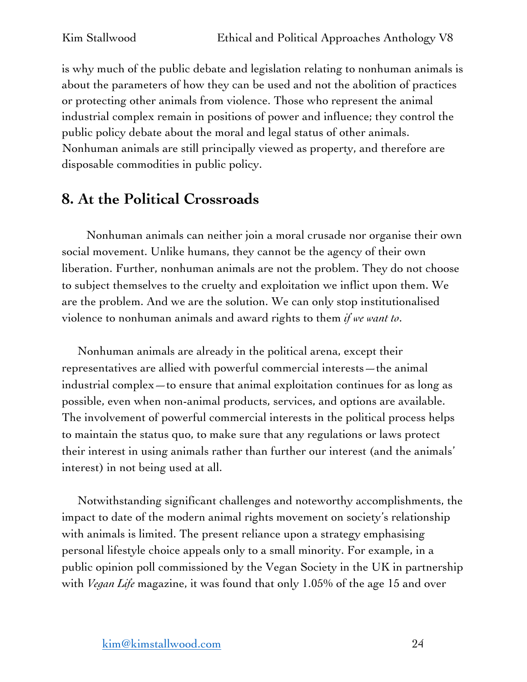is why much of the public debate and legislation relating to nonhuman animals is about the parameters of how they can be used and not the abolition of practices or protecting other animals from violence. Those who represent the animal industrial complex remain in positions of power and influence; they control the public policy debate about the moral and legal status of other animals. Nonhuman animals are still principally viewed as property, and therefore are disposable commodities in public policy.

### **8. At the Political Crossroads**

Nonhuman animals can neither join a moral crusade nor organise their own social movement. Unlike humans, they cannot be the agency of their own liberation. Further, nonhuman animals are not the problem. They do not choose to subject themselves to the cruelty and exploitation we inflict upon them. We are the problem. And we are the solution. We can only stop institutionalised violence to nonhuman animals and award rights to them *if we want to*.

Nonhuman animals are already in the political arena, except their representatives are allied with powerful commercial interests—the animal industrial complex—to ensure that animal exploitation continues for as long as possible, even when non-animal products, services, and options are available. The involvement of powerful commercial interests in the political process helps to maintain the status quo, to make sure that any regulations or laws protect their interest in using animals rather than further our interest (and the animals' interest) in not being used at all.

Notwithstanding significant challenges and noteworthy accomplishments, the impact to date of the modern animal rights movement on society's relationship with animals is limited. The present reliance upon a strategy emphasising personal lifestyle choice appeals only to a small minority. For example, in a public opinion poll commissioned by the Vegan Society in the UK in partnership with *Vegan Life* magazine, it was found that only 1.05% of the age 15 and over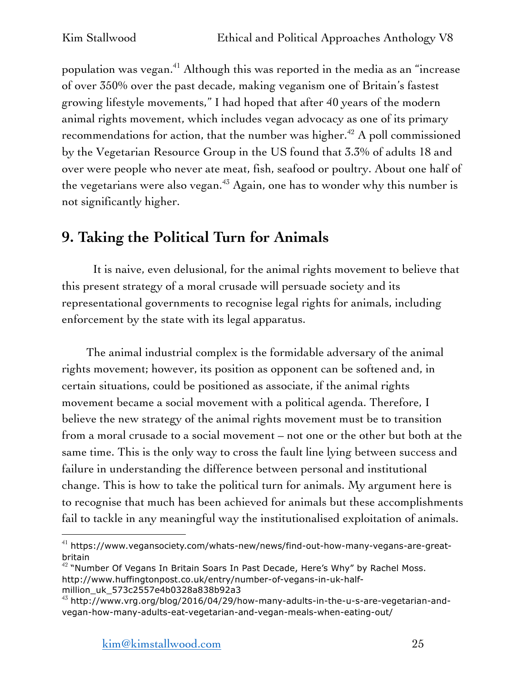population was vegan.<sup>41</sup> Although this was reported in the media as an "increase of over 350% over the past decade, making veganism one of Britain's fastest growing lifestyle movements," I had hoped that after 40 years of the modern animal rights movement, which includes vegan advocacy as one of its primary recommendations for action, that the number was higher.<sup> $42$ </sup> A poll commissioned by the Vegetarian Resource Group in the US found that 3.3% of adults 18 and over were people who never ate meat, fish, seafood or poultry. About one half of the vegetarians were also vegan.<sup>43</sup> Again, one has to wonder why this number is not significantly higher.

### **9. Taking the Political Turn for Animals**

It is naive, even delusional, for the animal rights movement to believe that this present strategy of a moral crusade will persuade society and its representational governments to recognise legal rights for animals, including enforcement by the state with its legal apparatus.

The animal industrial complex is the formidable adversary of the animal rights movement; however, its position as opponent can be softened and, in certain situations, could be positioned as associate, if the animal rights movement became a social movement with a political agenda. Therefore, I believe the new strategy of the animal rights movement must be to transition from a moral crusade to a social movement – not one or the other but both at the same time. This is the only way to cross the fault line lying between success and failure in understanding the difference between personal and institutional change. This is how to take the political turn for animals. My argument here is to recognise that much has been achieved for animals but these accomplishments fail to tackle in any meaningful way the institutionalised exploitation of animals.

 <sup>41</sup> https://www.vegansociety.com/whats-new/news/find-out-how-many-vegans-are-greatbritain

 $42$  "Number Of Vegans In Britain Soars In Past Decade, Here's Why" by Rachel Moss. http://www.huffingtonpost.co.uk/entry/number-of-vegans-in-uk-halfmillion\_uk\_573c2557e4b0328a838b92a3

 $43$  http://www.vrg.org/blog/2016/04/29/how-many-adults-in-the-u-s-are-vegetarian-andvegan-how-many-adults-eat-vegetarian-and-vegan-meals-when-eating-out/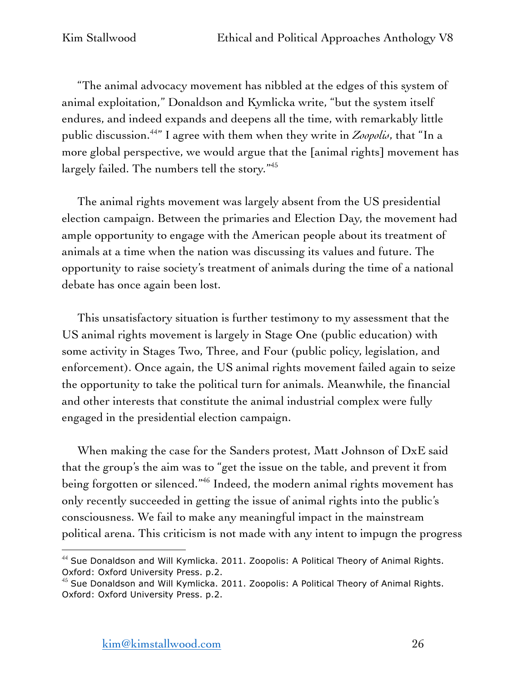"The animal advocacy movement has nibbled at the edges of this system of animal exploitation," Donaldson and Kymlicka write, "but the system itself endures, and indeed expands and deepens all the time, with remarkably little public discussion.44" I agree with them when they write in *Zoopolis*, that "In a more global perspective, we would argue that the [animal rights] movement has largely failed. The numbers tell the story."<sup>45</sup>

The animal rights movement was largely absent from the US presidential election campaign. Between the primaries and Election Day, the movement had ample opportunity to engage with the American people about its treatment of animals at a time when the nation was discussing its values and future. The opportunity to raise society's treatment of animals during the time of a national debate has once again been lost.

This unsatisfactory situation is further testimony to my assessment that the US animal rights movement is largely in Stage One (public education) with some activity in Stages Two, Three, and Four (public policy, legislation, and enforcement). Once again, the US animal rights movement failed again to seize the opportunity to take the political turn for animals. Meanwhile, the financial and other interests that constitute the animal industrial complex were fully engaged in the presidential election campaign.

When making the case for the Sanders protest, Matt Johnson of DxE said that the group's the aim was to "get the issue on the table, and prevent it from being forgotten or silenced."<sup>46</sup> Indeed, the modern animal rights movement has only recently succeeded in getting the issue of animal rights into the public's consciousness. We fail to make any meaningful impact in the mainstream political arena. This criticism is not made with any intent to impugn the progress

 $44$  Sue Donaldson and Will Kymlicka. 2011. Zoopolis: A Political Theory of Animal Rights. Oxford: Oxford University Press. p.2.

 $45$  Sue Donaldson and Will Kymlicka. 2011. Zoopolis: A Political Theory of Animal Rights. Oxford: Oxford University Press. p.2.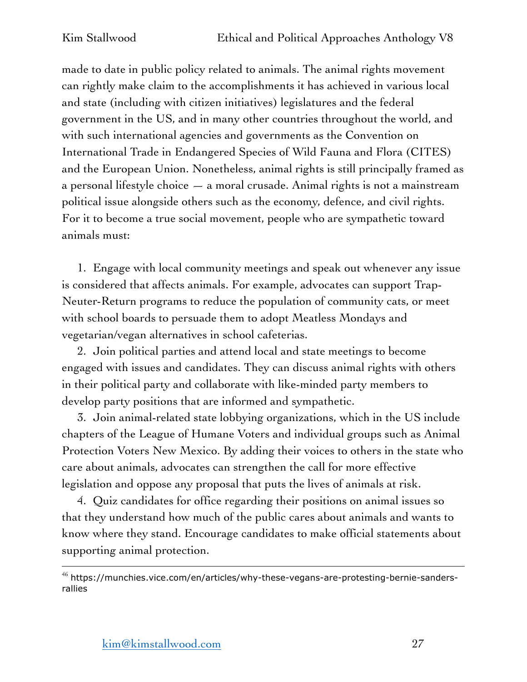made to date in public policy related to animals. The animal rights movement can rightly make claim to the accomplishments it has achieved in various local and state (including with citizen initiatives) legislatures and the federal government in the US, and in many other countries throughout the world, and with such international agencies and governments as the Convention on International Trade in Endangered Species of Wild Fauna and Flora (CITES) and the European Union. Nonetheless, animal rights is still principally framed as a personal lifestyle choice — a moral crusade. Animal rights is not a mainstream political issue alongside others such as the economy, defence, and civil rights. For it to become a true social movement, people who are sympathetic toward animals must:

1. Engage with local community meetings and speak out whenever any issue is considered that affects animals. For example, advocates can support Trap-Neuter-Return programs to reduce the population of community cats, or meet with school boards to persuade them to adopt Meatless Mondays and vegetarian/vegan alternatives in school cafeterias.

2. Join political parties and attend local and state meetings to become engaged with issues and candidates. They can discuss animal rights with others in their political party and collaborate with like-minded party members to develop party positions that are informed and sympathetic.

3. Join animal-related state lobbying organizations, which in the US include chapters of the League of Humane Voters and individual groups such as Animal Protection Voters New Mexico. By adding their voices to others in the state who care about animals, advocates can strengthen the call for more effective legislation and oppose any proposal that puts the lives of animals at risk.

4. Quiz candidates for office regarding their positions on animal issues so that they understand how much of the public cares about animals and wants to know where they stand. Encourage candidates to make official statements about supporting animal protection.

 <sup>46</sup> https://munchies.vice.com/en/articles/why-these-vegans-are-protesting-bernie-sandersrallies